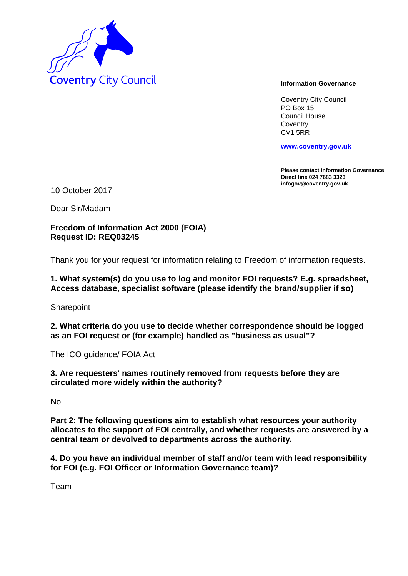

Coventry City Council PO Box 15 Council House **Coventry** CV1 5RR

**www.coventry.gov.uk**

**Please contact Information Governance Direct line 024 7683 3323 infogov@coventry.gov.uk** 

10 October 2017

Dear Sir/Madam

**Freedom of Information Act 2000 (FOIA) Request ID: REQ03245**

Thank you for your request for information relating to Freedom of information requests.

### **1. What system(s) do you use to log and monitor FOI requests? E.g. spreadsheet, Access database, specialist software (please identify the brand/supplier if so)**

**Sharepoint** 

**2. What criteria do you use to decide whether correspondence should be logged as an FOI request or (for example) handled as "business as usual"?**

The ICO guidance/ FOIA Act

**3. Are requesters' names routinely removed from requests before they are circulated more widely within the authority?**

No

**Part 2: The following questions aim to establish what resources your authority allocates to the support of FOI centrally, and whether requests are answered by a central team or devolved to departments across the authority.**

**4. Do you have an individual member of staff and/or team with lead responsibility for FOI (e.g. FOI Officer or Information Governance team)?**

Team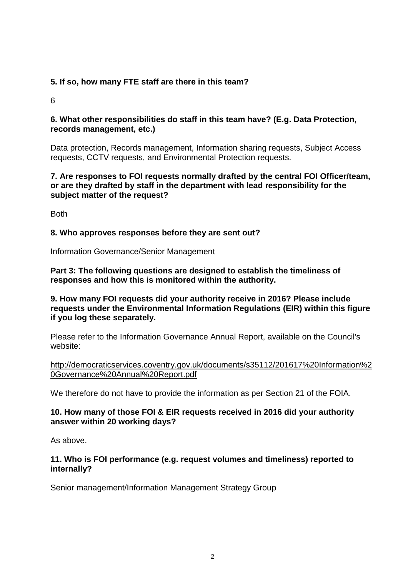# **5. If so, how many FTE staff are there in this team?**

6

## **6. What other responsibilities do staff in this team have? (E.g. Data Protection, records management, etc.)**

Data protection, Records management, Information sharing requests, Subject Access requests, CCTV requests, and Environmental Protection requests.

## **7. Are responses to FOI requests normally drafted by the central FOI Officer/team, or are they drafted by staff in the department with lead responsibility for the subject matter of the request?**

Both

# **8. Who approves responses before they are sent out?**

Information Governance/Senior Management

**Part 3: The following questions are designed to establish the timeliness of responses and how this is monitored within the authority.**

## **9. How many FOI requests did your authority receive in 2016? Please include requests under the Environmental Information Regulations (EIR) within this figure if you log these separately.**

Please refer to the Information Governance Annual Report, available on the Council's website:

http://democraticservices.coventry.gov.uk/documents/s35112/201617%20Information%2 0Governance%20Annual%20Report.pdf

We therefore do not have to provide the information as per Section 21 of the FOIA.

# **10. How many of those FOI & EIR requests received in 2016 did your authority answer within 20 working days?**

As above.

## **11. Who is FOI performance (e.g. request volumes and timeliness) reported to internally?**

Senior management/Information Management Strategy Group